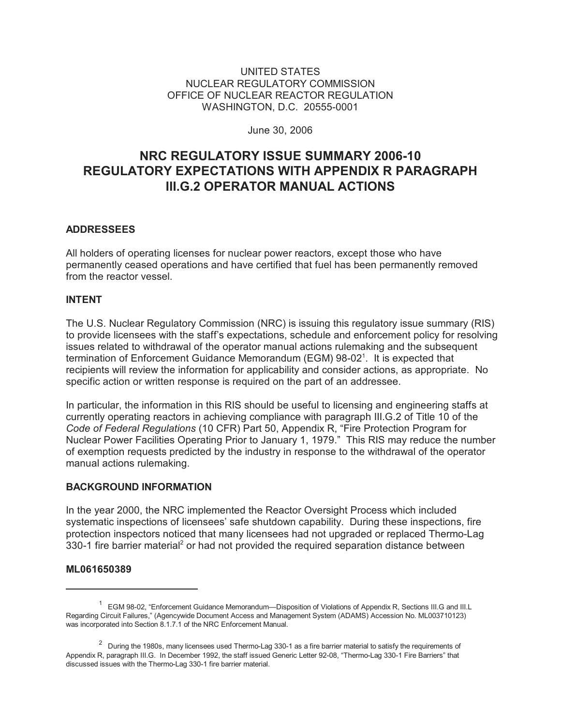## UNITED STATES NUCLEAR REGULATORY COMMISSION OFFICE OF NUCLEAR REACTOR REGULATION WASHINGTON, D.C. 20555-0001

June 30, 2006

# **NRC REGULATORY ISSUE SUMMARY 2006-10 REGULATORY EXPECTATIONS WITH APPENDIX R PARAGRAPH III.G.2 OPERATOR MANUAL ACTIONS**

# **ADDRESSEES**

All holders of operating licenses for nuclear power reactors, except those who have permanently ceased operations and have certified that fuel has been permanently removed from the reactor vessel.

## **INTENT**

The U.S. Nuclear Regulatory Commission (NRC) is issuing this regulatory issue summary (RIS) to provide licensees with the staff's expectations, schedule and enforcement policy for resolving issues related to withdrawal of the operator manual actions rulemaking and the subsequent termination of Enforcement Guidance Memorandum (EGM) 98-02<sup>1</sup>. It is expected that recipients will review the information for applicability and consider actions, as appropriate. No specific action or written response is required on the part of an addressee.

In particular, the information in this RIS should be useful to licensing and engineering staffs at currently operating reactors in achieving compliance with paragraph III.G.2 of Title 10 of the *Code of Federal Regulations* (10 CFR) Part 50, Appendix R, "Fire Protection Program for Nuclear Power Facilities Operating Prior to January 1, 1979." This RIS may reduce the number of exemption requests predicted by the industry in response to the withdrawal of the operator manual actions rulemaking.

#### **BACKGROUND INFORMATION**

In the year 2000, the NRC implemented the Reactor Oversight Process which included systematic inspections of licensees' safe shutdown capability. During these inspections, fire protection inspectors noticed that many licensees had not upgraded or replaced Thermo-Lag 330-1 fire barrier material<sup>2</sup> or had not provided the required separation distance between

#### **ML061650389**

<sup>&</sup>lt;sup>1</sup> EGM 98-02, "Enforcement Guidance Memorandum—Disposition of Violations of Appendix R, Sections III.G and III.L Regarding Circuit Failures," (Agencywide Document Access and Management System (ADAMS) Accession No. ML003710123) was incorporated into Section 8.1.7.1 of the NRC Enforcement Manual.

 $2$  During the 1980s, many licensees used Thermo-Lag 330-1 as a fire barrier material to satisfy the requirements of Appendix R, paragraph III.G. In December 1992, the staff issued Generic Letter 92-08, "Thermo-Lag 330-1 Fire Barriers" that discussed issues with the Thermo-Lag 330-1 fire barrier material.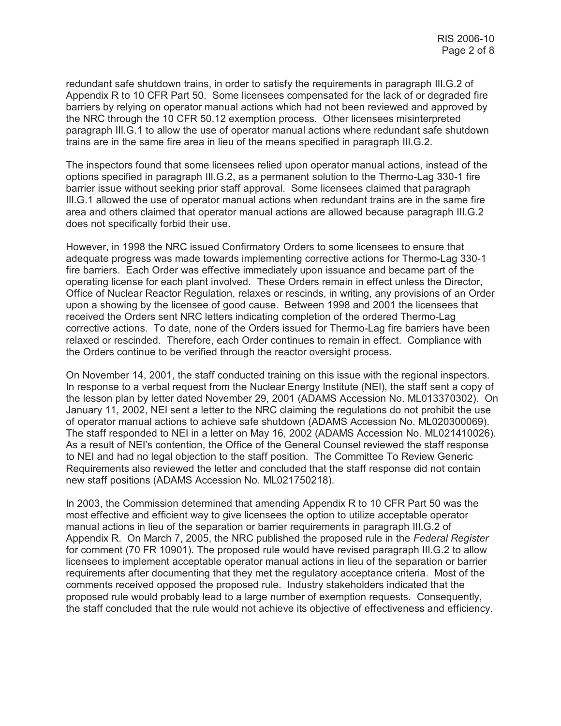redundant safe shutdown trains, in order to satisfy the requirements in paragraph III.G.2 of Appendix R to 10 CFR Part 50. Some licensees compensated for the lack of or degraded fire barriers by relying on operator manual actions which had not been reviewed and approved by the NRC through the 10 CFR 50.12 exemption process. Other licensees misinterpreted paragraph III.G.1 to allow the use of operator manual actions where redundant safe shutdown trains are in the same fire area in lieu of the means specified in paragraph III.G.2.

The inspectors found that some licensees relied upon operator manual actions, instead of the options specified in paragraph III.G.2, as a permanent solution to the Thermo-Lag 330-1 fire barrier issue without seeking prior staff approval. Some licensees claimed that paragraph III.G.1 allowed the use of operator manual actions when redundant trains are in the same fire area and others claimed that operator manual actions are allowed because paragraph III.G.2 does not specifically forbid their use.

However, in 1998 the NRC issued Confirmatory Orders to some licensees to ensure that adequate progress was made towards implementing corrective actions for Thermo-Lag 330-1 fire barriers. Each Order was effective immediately upon issuance and became part of the operating license for each plant involved. These Orders remain in effect unless the Director, Office of Nuclear Reactor Regulation, relaxes or rescinds, in writing, any provisions of an Order upon a showing by the licensee of good cause. Between 1998 and 2001 the licensees that received the Orders sent NRC letters indicating completion of the ordered Thermo-Lag corrective actions. To date, none of the Orders issued for Thermo-Lag fire barriers have been relaxed or rescinded. Therefore, each Order continues to remain in effect. Compliance with the Orders continue to be verified through the reactor oversight process.

On November 14, 2001, the staff conducted training on this issue with the regional inspectors. In response to a verbal request from the Nuclear Energy Institute (NEI), the staff sent a copy of the lesson plan by letter dated November 29, 2001 (ADAMS Accession No. ML013370302). On January 11, 2002, NEI sent a letter to the NRC claiming the regulations do not prohibit the use of operator manual actions to achieve safe shutdown (ADAMS Accession No. ML020300069). The staff responded to NEI in a letter on May 16, 2002 (ADAMS Accession No. ML021410026). As a result of NEI's contention, the Office of the General Counsel reviewed the staff response to NEI and had no legal objection to the staff position. The Committee To Review Generic Requirements also reviewed the letter and concluded that the staff response did not contain new staff positions (ADAMS Accession No. ML021750218).

In 2003, the Commission determined that amending Appendix R to 10 CFR Part 50 was the most effective and efficient way to give licensees the option to utilize acceptable operator manual actions in lieu of the separation or barrier requirements in paragraph III.G.2 of Appendix R. On March 7, 2005, the NRC published the proposed rule in the *Federal Register* for comment (70 FR 10901). The proposed rule would have revised paragraph III.G.2 to allow licensees to implement acceptable operator manual actions in lieu of the separation or barrier requirements after documenting that they met the regulatory acceptance criteria. Most of the comments received opposed the proposed rule. Industry stakeholders indicated that the proposed rule would probably lead to a large number of exemption requests. Consequently, the staff concluded that the rule would not achieve its objective of effectiveness and efficiency.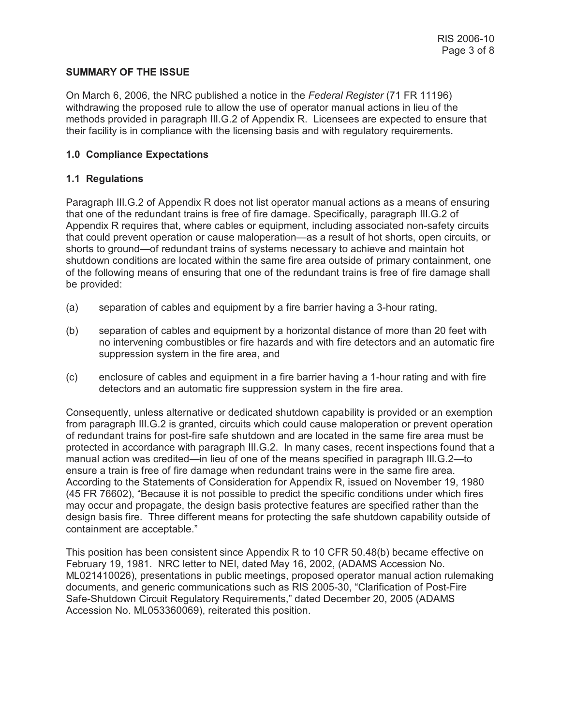## **SUMMARY OF THE ISSUE**

On March 6, 2006, the NRC published a notice in the *Federal Register* (71 FR 11196) withdrawing the proposed rule to allow the use of operator manual actions in lieu of the methods provided in paragraph III.G.2 of Appendix R. Licensees are expected to ensure that their facility is in compliance with the licensing basis and with regulatory requirements.

## **1.0 Compliance Expectations**

## **1.1 Regulations**

Paragraph III.G.2 of Appendix R does not list operator manual actions as a means of ensuring that one of the redundant trains is free of fire damage. Specifically, paragraph III.G.2 of Appendix R requires that, where cables or equipment, including associated non-safety circuits that could prevent operation or cause maloperation—as a result of hot shorts, open circuits, or shorts to ground—of redundant trains of systems necessary to achieve and maintain hot shutdown conditions are located within the same fire area outside of primary containment, one of the following means of ensuring that one of the redundant trains is free of fire damage shall be provided:

- (a) separation of cables and equipment by a fire barrier having a 3-hour rating,
- (b) separation of cables and equipment by a horizontal distance of more than 20 feet with no intervening combustibles or fire hazards and with fire detectors and an automatic fire suppression system in the fire area, and
- (c) enclosure of cables and equipment in a fire barrier having a 1-hour rating and with fire detectors and an automatic fire suppression system in the fire area.

Consequently, unless alternative or dedicated shutdown capability is provided or an exemption from paragraph III.G.2 is granted, circuits which could cause maloperation or prevent operation of redundant trains for post-fire safe shutdown and are located in the same fire area must be protected in accordance with paragraph III.G.2. In many cases, recent inspections found that a manual action was credited—in lieu of one of the means specified in paragraph III.G.2—to ensure a train is free of fire damage when redundant trains were in the same fire area. According to the Statements of Consideration for Appendix R, issued on November 19, 1980 (45 FR 76602), "Because it is not possible to predict the specific conditions under which fires may occur and propagate, the design basis protective features are specified rather than the design basis fire. Three different means for protecting the safe shutdown capability outside of containment are acceptable."

This position has been consistent since Appendix R to 10 CFR 50.48(b) became effective on February 19, 1981. NRC letter to NEI, dated May 16, 2002, (ADAMS Accession No. ML021410026), presentations in public meetings, proposed operator manual action rulemaking documents, and generic communications such as RIS 2005-30, "Clarification of Post-Fire Safe-Shutdown Circuit Regulatory Requirements," dated December 20, 2005 (ADAMS Accession No. ML053360069), reiterated this position.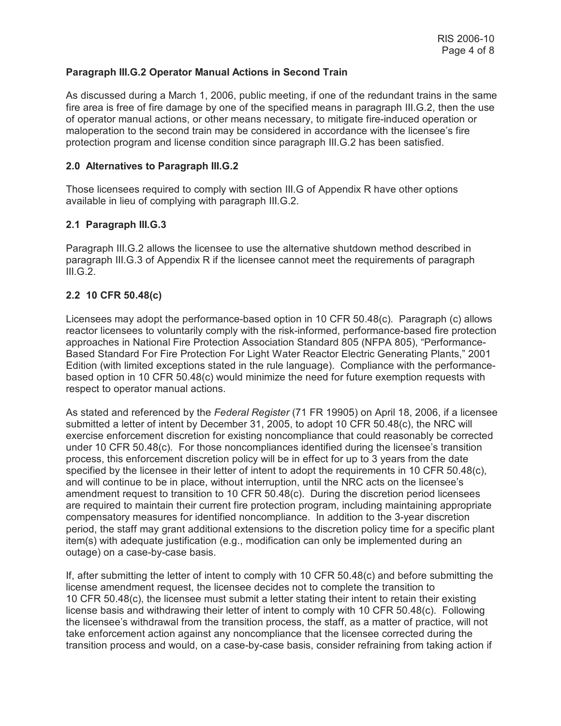## **Paragraph III.G.2 Operator Manual Actions in Second Train**

As discussed during a March 1, 2006, public meeting, if one of the redundant trains in the same fire area is free of fire damage by one of the specified means in paragraph III.G.2, then the use of operator manual actions, or other means necessary, to mitigate fire-induced operation or maloperation to the second train may be considered in accordance with the licensee's fire protection program and license condition since paragraph III.G.2 has been satisfied.

## **2.0 Alternatives to Paragraph III.G.2**

Those licensees required to comply with section III.G of Appendix R have other options available in lieu of complying with paragraph III.G.2.

# **2.1 Paragraph III.G.3**

Paragraph III.G.2 allows the licensee to use the alternative shutdown method described in paragraph III.G.3 of Appendix R if the licensee cannot meet the requirements of paragraph III.G.2.

## **2.2 10 CFR 50.48(c)**

Licensees may adopt the performance-based option in 10 CFR 50.48(c). Paragraph (c) allows reactor licensees to voluntarily comply with the risk-informed, performance-based fire protection approaches in National Fire Protection Association Standard 805 (NFPA 805), "Performance-Based Standard For Fire Protection For Light Water Reactor Electric Generating Plants," 2001 Edition (with limited exceptions stated in the rule language). Compliance with the performancebased option in 10 CFR 50.48(c) would minimize the need for future exemption requests with respect to operator manual actions.

As stated and referenced by the *Federal Register* (71 FR 19905) on April 18, 2006, if a licensee submitted a letter of intent by December 31, 2005, to adopt 10 CFR 50.48(c), the NRC will exercise enforcement discretion for existing noncompliance that could reasonably be corrected under 10 CFR 50.48(c). For those noncompliances identified during the licensee's transition process, this enforcement discretion policy will be in effect for up to 3 years from the date specified by the licensee in their letter of intent to adopt the requirements in 10 CFR 50.48(c), and will continue to be in place, without interruption, until the NRC acts on the licensee's amendment request to transition to 10 CFR 50.48(c). During the discretion period licensees are required to maintain their current fire protection program, including maintaining appropriate compensatory measures for identified noncompliance. In addition to the 3-year discretion period, the staff may grant additional extensions to the discretion policy time for a specific plant item(s) with adequate justification (e.g., modification can only be implemented during an outage) on a case-by-case basis.

If, after submitting the letter of intent to comply with 10 CFR 50.48(c) and before submitting the license amendment request, the licensee decides not to complete the transition to 10 CFR 50.48(c), the licensee must submit a letter stating their intent to retain their existing license basis and withdrawing their letter of intent to comply with 10 CFR 50.48(c). Following the licensee's withdrawal from the transition process, the staff, as a matter of practice, will not take enforcement action against any noncompliance that the licensee corrected during the transition process and would, on a case-by-case basis, consider refraining from taking action if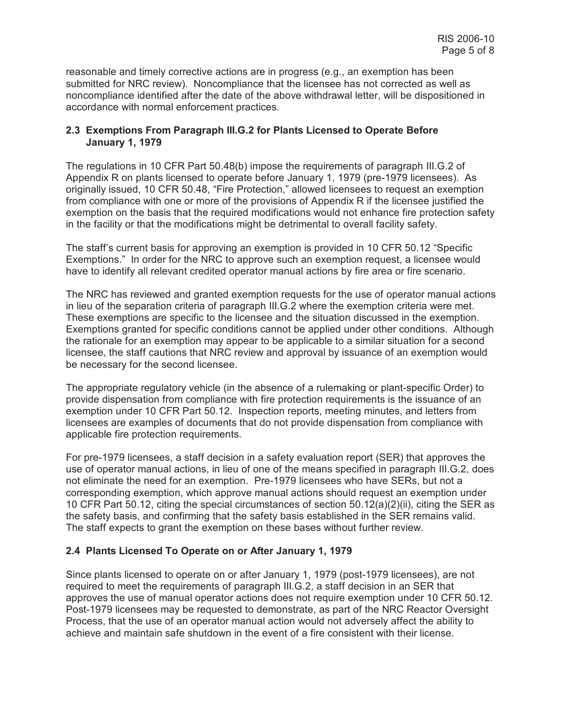reasonable and timely corrective actions are in progress (e.g., an exemption has been submitted for NRC review). Noncompliance that the licensee has not corrected as well as noncompliance identified after the date of the above withdrawal letter, will be dispositioned in accordance with normal enforcement practices.

## **2.3 Exemptions From Paragraph III.G.2 for Plants Licensed to Operate Before January 1, 1979**

The regulations in 10 CFR Part 50.48(b) impose the requirements of paragraph III.G.2 of Appendix R on plants licensed to operate before January 1, 1979 (pre-1979 licensees). As originally issued, 10 CFR 50.48, "Fire Protection," allowed licensees to request an exemption from compliance with one or more of the provisions of Appendix R if the licensee justified the exemption on the basis that the required modifications would not enhance fire protection safety in the facility or that the modifications might be detrimental to overall facility safety.

The staff's current basis for approving an exemption is provided in 10 CFR 50.12 "Specific Exemptions." In order for the NRC to approve such an exemption request, a licensee would have to identify all relevant credited operator manual actions by fire area or fire scenario.

The NRC has reviewed and granted exemption requests for the use of operator manual actions in lieu of the separation criteria of paragraph III.G.2 where the exemption criteria were met. These exemptions are specific to the licensee and the situation discussed in the exemption. Exemptions granted for specific conditions cannot be applied under other conditions. Although the rationale for an exemption may appear to be applicable to a similar situation for a second licensee, the staff cautions that NRC review and approval by issuance of an exemption would be necessary for the second licensee.

The appropriate regulatory vehicle (in the absence of a rulemaking or plant-specific Order) to provide dispensation from compliance with fire protection requirements is the issuance of an exemption under 10 CFR Part 50.12. Inspection reports, meeting minutes, and letters from licensees are examples of documents that do not provide dispensation from compliance with applicable fire protection requirements.

For pre-1979 licensees, a staff decision in a safety evaluation report (SER) that approves the use of operator manual actions, in lieu of one of the means specified in paragraph III.G.2, does not eliminate the need for an exemption. Pre-1979 licensees who have SERs, but not a corresponding exemption, which approve manual actions should request an exemption under 10 CFR Part 50.12, citing the special circumstances of section 50.12(a)(2)(ii), citing the SER as the safety basis, and confirming that the safety basis established in the SER remains valid. The staff expects to grant the exemption on these bases without further review.

# **2.4 Plants Licensed To Operate on or After January 1, 1979**

Since plants licensed to operate on or after January 1, 1979 (post-1979 licensees), are not required to meet the requirements of paragraph III.G.2, a staff decision in an SER that approves the use of manual operator actions does not require exemption under 10 CFR 50.12. Post-1979 licensees may be requested to demonstrate, as part of the NRC Reactor Oversight Process, that the use of an operator manual action would not adversely affect the ability to achieve and maintain safe shutdown in the event of a fire consistent with their license.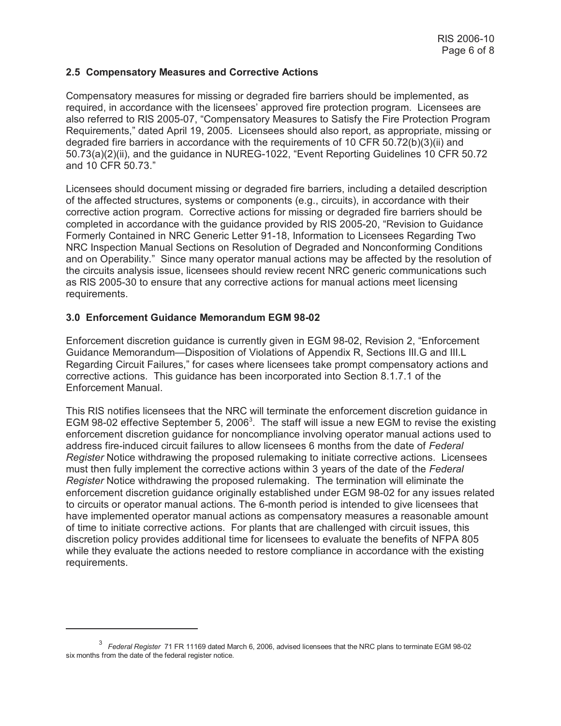## **2.5 Compensatory Measures and Corrective Actions**

Compensatory measures for missing or degraded fire barriers should be implemented, as required, in accordance with the licensees' approved fire protection program. Licensees are also referred to RIS 2005-07, "Compensatory Measures to Satisfy the Fire Protection Program Requirements," dated April 19, 2005. Licensees should also report, as appropriate, missing or degraded fire barriers in accordance with the requirements of 10 CFR 50.72(b)(3)(ii) and 50.73(a)(2)(ii), and the guidance in NUREG-1022, "Event Reporting Guidelines 10 CFR 50.72 and 10 CFR 50.73."

Licensees should document missing or degraded fire barriers, including a detailed description of the affected structures, systems or components (e.g., circuits), in accordance with their corrective action program. Corrective actions for missing or degraded fire barriers should be completed in accordance with the guidance provided by RIS 2005-20, "Revision to Guidance Formerly Contained in NRC Generic Letter 91-18, Information to Licensees Regarding Two NRC Inspection Manual Sections on Resolution of Degraded and Nonconforming Conditions and on Operability." Since many operator manual actions may be affected by the resolution of the circuits analysis issue, licensees should review recent NRC generic communications such as RIS 2005-30 to ensure that any corrective actions for manual actions meet licensing requirements.

## **3.0 Enforcement Guidance Memorandum EGM 98-02**

Enforcement discretion guidance is currently given in EGM 98-02, Revision 2, "Enforcement Guidance Memorandum—Disposition of Violations of Appendix R, Sections III.G and III.L Regarding Circuit Failures," for cases where licensees take prompt compensatory actions and corrective actions. This guidance has been incorporated into Section 8.1.7.1 of the Enforcement Manual.

This RIS notifies licensees that the NRC will terminate the enforcement discretion guidance in EGM 98-02 effective September 5, 2006<sup>3</sup>. The staff will issue a new EGM to revise the existing enforcement discretion guidance for noncompliance involving operator manual actions used to address fire-induced circuit failures to allow licensees 6 months from the date of *Federal Register* Notice withdrawing the proposed rulemaking to initiate corrective actions. Licensees must then fully implement the corrective actions within 3 years of the date of the *Federal Register* Notice withdrawing the proposed rulemaking. The termination will eliminate the enforcement discretion guidance originally established under EGM 98-02 for any issues related to circuits or operator manual actions. The 6-month period is intended to give licensees that have implemented operator manual actions as compensatory measures a reasonable amount of time to initiate corrective actions. For plants that are challenged with circuit issues, this discretion policy provides additional time for licensees to evaluate the benefits of NFPA 805 while they evaluate the actions needed to restore compliance in accordance with the existing requirements.

<sup>3</sup> *Federal Register* 71 FR 11169 dated March 6, 2006, advised licensees that the NRC plans to terminate EGM 98-02 six months from the date of the federal register notice.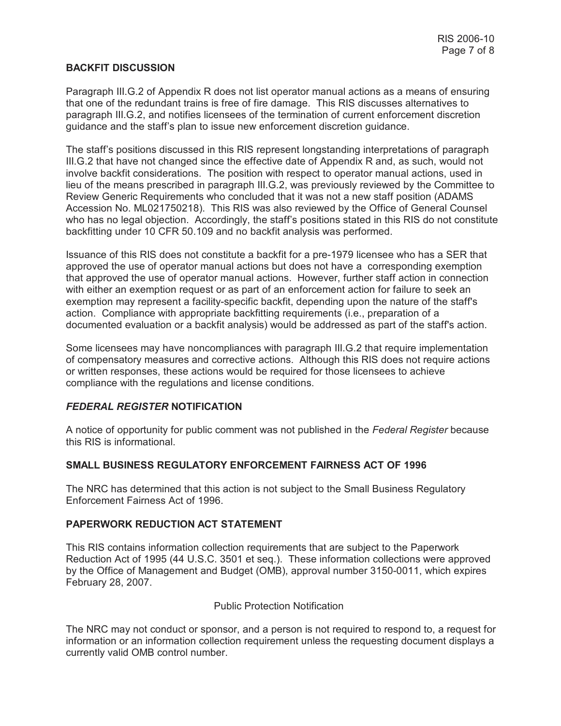## **BACKFIT DISCUSSION**

Paragraph III.G.2 of Appendix R does not list operator manual actions as a means of ensuring that one of the redundant trains is free of fire damage. This RIS discusses alternatives to paragraph III.G.2, and notifies licensees of the termination of current enforcement discretion guidance and the staff's plan to issue new enforcement discretion guidance.

The staff's positions discussed in this RIS represent longstanding interpretations of paragraph III.G.2 that have not changed since the effective date of Appendix R and, as such, would not involve backfit considerations. The position with respect to operator manual actions, used in lieu of the means prescribed in paragraph III.G.2, was previously reviewed by the Committee to Review Generic Requirements who concluded that it was not a new staff position (ADAMS Accession No. ML021750218). This RIS was also reviewed by the Office of General Counsel who has no legal objection. Accordingly, the staff's positions stated in this RIS do not constitute backfitting under 10 CFR 50.109 and no backfit analysis was performed.

Issuance of this RIS does not constitute a backfit for a pre-1979 licensee who has a SER that approved the use of operator manual actions but does not have a corresponding exemption that approved the use of operator manual actions. However, further staff action in connection with either an exemption request or as part of an enforcement action for failure to seek an exemption may represent a facility-specific backfit, depending upon the nature of the staff's action. Compliance with appropriate backfitting requirements (i.e., preparation of a documented evaluation or a backfit analysis) would be addressed as part of the staff's action.

Some licensees may have noncompliances with paragraph III.G.2 that require implementation of compensatory measures and corrective actions. Although this RIS does not require actions or written responses, these actions would be required for those licensees to achieve compliance with the regulations and license conditions.

# *FEDERAL REGISTER* **NOTIFICATION**

A notice of opportunity for public comment was not published in the *Federal Register* because this RIS is informational.

# **SMALL BUSINESS REGULATORY ENFORCEMENT FAIRNESS ACT OF 1996**

The NRC has determined that this action is not subject to the Small Business Regulatory Enforcement Fairness Act of 1996.

# **PAPERWORK REDUCTION ACT STATEMENT**

This RIS contains information collection requirements that are subject to the Paperwork Reduction Act of 1995 (44 U.S.C. 3501 et seq.). These information collections were approved by the Office of Management and Budget (OMB), approval number 3150-0011, which expires February 28, 2007.

#### Public Protection Notification

The NRC may not conduct or sponsor, and a person is not required to respond to, a request for information or an information collection requirement unless the requesting document displays a currently valid OMB control number.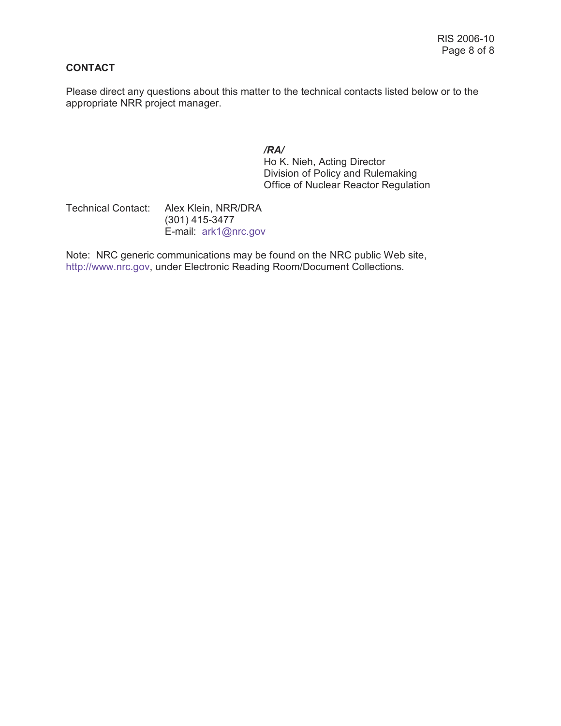# **CONTACT**

Please direct any questions about this matter to the technical contacts listed below or to the appropriate NRR project manager.

*/RA/*

Ho K. Nieh, Acting Director Division of Policy and Rulemaking Office of Nuclear Reactor Regulation

Technical Contact: Alex Klein, NRR/DRA (301) 415-3477 E-mail: ark1@nrc.gov

Note: NRC generic communications may be found on the NRC public Web site, http://www.nrc.gov, under Electronic Reading Room/Document Collections.